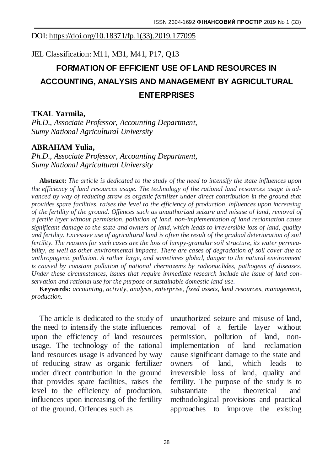#### DOI: [https://doi.org/10.18371/fp.1\(33\).2019.177095](https://doi.org/10.18371/fp.1(33).2019.177095)

JEL Classification: M11, M31, M41, P17, Q13

# **FORMATION OF EFFICIENT USE OF LAND RESOURCES IN ACCOUNTING, ANALYSIS AND MANAGEMENT BY AGRICULTURAL ENTERPRISES**

### **TKAL Yarmila,**

*Ph.D., Associate Professor, Accounting Department, Sumy National Agricultural University*

### **ABRAHAM Yulia,**

*Ph.D., Associate Professor, Accounting Department, Sumy National Agricultural University*

**Abstract:** *The article is dedicated to the study of the need to intensify the state influences upon the efficiency of land resources usage. The technology of the rational land resources usage is advanced by way of reducing straw as organic fertilizer under direct contribution in the ground that provides spare facilities, raises the level to the efficiency of production, influences upon increasing of the fertility of the ground. Offences such as unauthorized seizure and misuse of land, removal of a fertile layer without permission, pollution of land, non-implementation of land reclamation cause significant damage to the state and owners of land, which leads to irreversible loss of land, quality and fertility. Excessive use of agricultural land is often the result of the gradual deterioration of soil fertility. The reasons for such cases are the loss of lumpy-granular soil structure, its water permeability, as well as other environmental impacts. There are cases of degradation of soil cover due to anthropogenic pollution. A rather large, and sometimes global, danger to the natural environment is caused by constant pollution of national chernozems by radionuclides, pathogens of diseases. Under these circumstances, issues that require immediate research include the issue of land conservation and rational use for the purpose of sustainable domestic land use.*

**Keywords:** *accounting, activity, analysis, enterprise, fixed assets, land resources, management, production.*

The article is dedicated to the study of the need to intensify the state influences upon the efficiency of land resources usage. The technology of the rational land resources usage is advanced by way of reducing straw as organic fertilizer under direct contribution in the ground that provides spare facilities, raises the level to the efficiency of production, influences upon increasing of the fertility of the ground. Offences such as

unauthorized seizure and misuse of land, removal of a fertile layer without permission, pollution of land, nonimplementation of land reclamation cause significant damage to the state and owners of land, which leads to irreversible loss of land, quality and fertility. The purpose of the study is to substantiate the theoretical and methodological provisions and practical approaches to improve the existing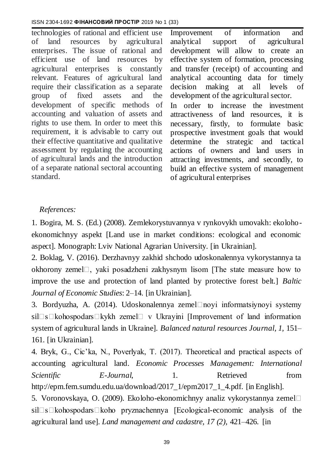technologies of rational and efficient use of land resources by agricultural enterprises. The issue of rational and efficient use of land resources by agricultural enterprises is constantly relevant. Features of agricultural land require their classification as a separate group of fixed assets and the development of specific methods of accounting and valuation of assets and rights to use them. In order to meet this requirement, it is advisable to carry out their effective quantitative and qualitative assessment by regulating the accounting of agricultural lands and the introduction of a separate national sectoral accounting standard.

Improvement of information and analytical support of agricultural development will allow to create an effective system of formation, processing and transfer (receipt) of accounting and analytical accounting data for timely decision making at all levels of development of the agricultural sector. In order to increase the investment attractiveness of land resources, it is necessary, firstly, to formulate basic prospective investment goals that would determine the strategic and tactical actions of owners and land users in attracting investments, and secondly, to build an effective system of management of agricultural enterprises

## *References:*

1. Bogira, M. S. (Ed.) (2008). Zemlekorystuvannya v rynkovykh umovakh: ekolohoekonomichnyy aspekt [Land use in market conditions: ecological and economic aspect]. Monograph: Lviv National Agrarian University. [in Ukrainian].

2. Boklag, V. (2016). Derzhavnyy zakhid shchodo udoskonalennya vykorystannya ta okhorony zemel $\Box$ , yaki posadzheni zakhysnym lisom [The state measure how to improve the use and protection of land planted by protective forest belt.] *Baltic Journal of Economic Studies*: 2–14. [in Ukrainian].

3. Bordyuzha, A.  $(2014)$ . Udoskonalennya zemel $\Box$ noyi informatsiynoyi systemy sil $\square$ s $\square$ kohospodars $\square$ kykh zemel $\square$  v Ukrayini [Improvement of land information system of agricultural lands in Ukraine]. *Balanced natural resources Journal, 1,* 151– 161. [in Ukrainian].

4. Bryk, G., Cic'ka, N., Poverlyak, T. (2017). Theoretical and practical aspects of accounting agricultural land. *Economic Processes Management: International Scientific E-Journal*, 1. Retrieved fro[m](http://epm.fem.sumdu.edu.ua/download/2017_1/epm2017_1_4.pdf) [http://epm.fem.sumdu.edu.ua/download/2017\\_1/epm2017\\_1\\_4.pdf. \[](http://epm.fem.sumdu.edu.ua/download/2017_1/epm2017_1_4.pdf)in English].

5. Voronovskaya, O. (2009). Ekoloho-ekonomichnyy analiz vykorystannya zemel□  $sil\square s\square kohospodars\square koho$  pryznachennya [Ecological-economic analysis of the agricultural land use]. *Land management and cadastre, 17 (2),* 421–426. [in